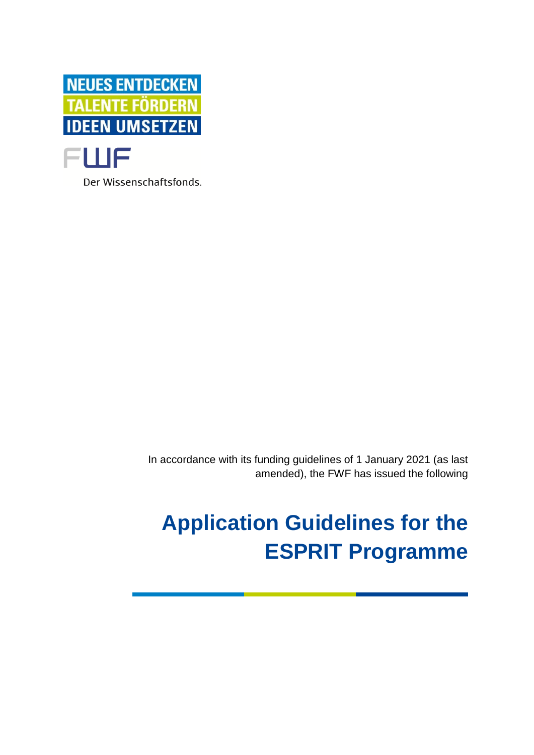

Der Wissenschaftsfonds.

In accordance with its funding guidelines of 1 January 2021 (as last amended), the FWF has issued the following

# **Application Guidelines for the ESPRIT Programme**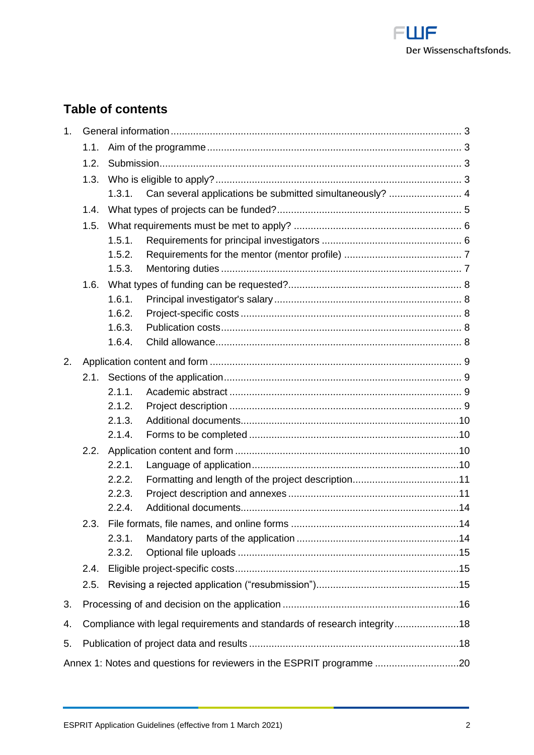

# **Table of contents**

| 1 <sub>1</sub>                                                        |      |                                                                          |  |  |
|-----------------------------------------------------------------------|------|--------------------------------------------------------------------------|--|--|
|                                                                       | 1.1. |                                                                          |  |  |
|                                                                       | 1.2. |                                                                          |  |  |
|                                                                       | 1.3. |                                                                          |  |  |
|                                                                       |      |                                                                          |  |  |
|                                                                       | 1.4. |                                                                          |  |  |
|                                                                       | 1.5. |                                                                          |  |  |
|                                                                       |      | 1.5.1.                                                                   |  |  |
|                                                                       |      | 1.5.2.                                                                   |  |  |
|                                                                       |      | 1.5.3.                                                                   |  |  |
|                                                                       | 1.6. |                                                                          |  |  |
|                                                                       |      | 1.6.1.                                                                   |  |  |
|                                                                       |      | 1.6.2.                                                                   |  |  |
|                                                                       |      | 1.6.3.                                                                   |  |  |
|                                                                       |      | 1.6.4.                                                                   |  |  |
| 2.                                                                    |      |                                                                          |  |  |
|                                                                       | 2.1. |                                                                          |  |  |
|                                                                       |      | 2.1.1.                                                                   |  |  |
|                                                                       |      | 2.1.2.                                                                   |  |  |
|                                                                       |      | 2.1.3.                                                                   |  |  |
|                                                                       |      | 2.1.4.                                                                   |  |  |
|                                                                       | 2.2. |                                                                          |  |  |
|                                                                       |      | 2.2.1.                                                                   |  |  |
|                                                                       |      | 2.2.2.                                                                   |  |  |
|                                                                       |      | 2.2.3.                                                                   |  |  |
|                                                                       |      | 2.2.4.                                                                   |  |  |
|                                                                       | 2.3. |                                                                          |  |  |
|                                                                       |      | 2.3.1.                                                                   |  |  |
|                                                                       |      | 2.3.2.                                                                   |  |  |
|                                                                       | 2.4. |                                                                          |  |  |
|                                                                       | 2.5. |                                                                          |  |  |
| 3.                                                                    |      |                                                                          |  |  |
| 4.                                                                    |      | Compliance with legal requirements and standards of research integrity18 |  |  |
| 5.                                                                    |      |                                                                          |  |  |
| Annex 1: Notes and questions for reviewers in the ESPRIT programme 20 |      |                                                                          |  |  |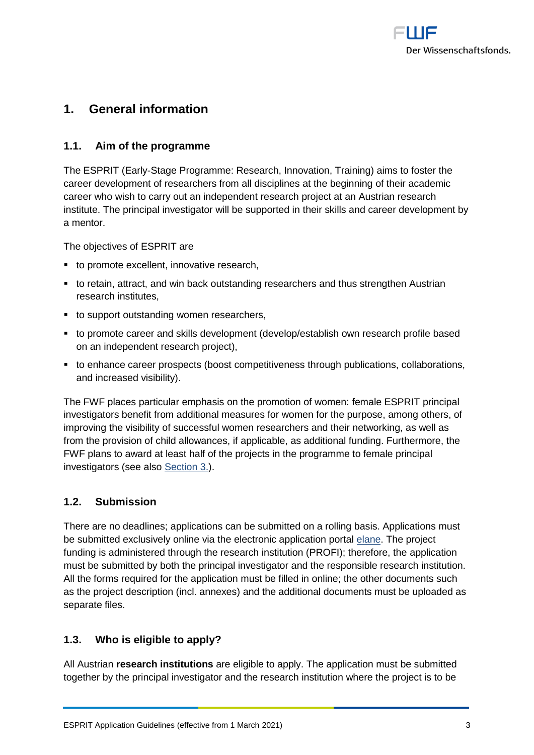

# <span id="page-2-0"></span>**1. General information**

# <span id="page-2-1"></span>**1.1. Aim of the programme**

The ESPRIT (Early-Stage Programme: Research, Innovation, Training) aims to foster the career development of researchers from all disciplines at the beginning of their academic career who wish to carry out an independent research project at an Austrian research institute. The principal investigator will be supported in their skills and career development by a mentor.

The objectives of ESPRIT are

- to promote excellent, innovative research,
- to retain, attract, and win back outstanding researchers and thus strengthen Austrian research institutes,
- to support outstanding women researchers,
- to promote career and skills development (develop/establish own research profile based on an independent research project),
- to enhance career prospects (boost competitiveness through publications, collaborations, and increased visibility).

The FWF places particular emphasis on the promotion of women: female ESPRIT principal investigators benefit from additional measures for women for the purpose, among others, of improving the visibility of successful women researchers and their networking, as well as from the provision of child allowances, if applicable, as additional funding. Furthermore, the FWF plans to award at least half of the projects in the programme to female principal investigators (see also [Section 3.](#page-15-0)).

# <span id="page-2-2"></span>**1.2. Submission**

There are no deadlines; applications can be submitted on a rolling basis. Applications must be submitted exclusively online via the electronic application portal [elane.](https://elane.fwf.ac.at/) The project funding is administered through the research institution (PROFI); therefore, the application must be submitted by both the principal investigator and the responsible research institution. All the forms required for the application must be filled in online; the other documents such as the project description (incl. annexes) and the additional documents must be uploaded as separate files.

# <span id="page-2-3"></span>**1.3. Who is eligible to apply?**

All Austrian **research institutions** are eligible to apply. The application must be submitted together by the principal investigator and the research institution where the project is to be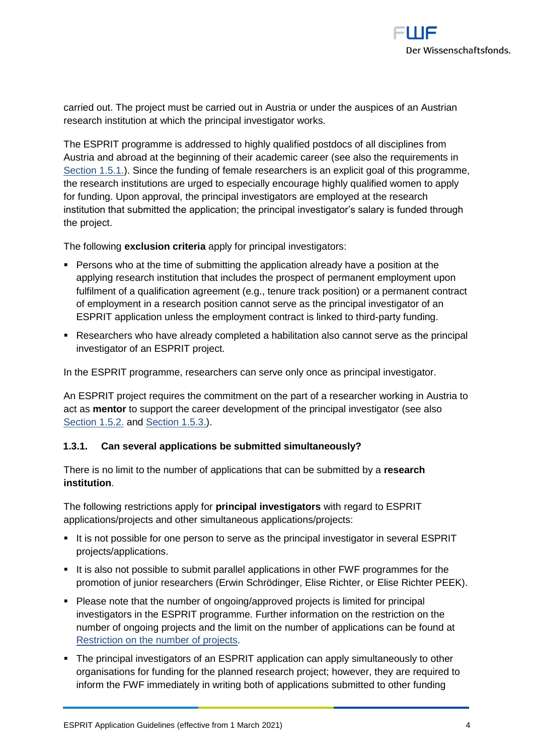

carried out. The project must be carried out in Austria or under the auspices of an Austrian research institution at which the principal investigator works.

The ESPRIT programme is addressed to highly qualified postdocs of all disciplines from Austria and abroad at the beginning of their academic career (see also the requirements in [Section 1.5.1.\)](#page-5-1). Since the funding of female researchers is an explicit goal of this programme, the research institutions are urged to especially encourage highly qualified women to apply for funding. Upon approval, the principal investigators are employed at the research institution that submitted the application; the principal investigator's salary is funded through the project.

The following **exclusion criteria** apply for principal investigators:

- Persons who at the time of submitting the application already have a position at the applying research institution that includes the prospect of permanent employment upon fulfilment of a qualification agreement (e.g., tenure track position) or a permanent contract of employment in a research position cannot serve as the principal investigator of an ESPRIT application unless the employment contract is linked to third-party funding.
- Researchers who have already completed a habilitation also cannot serve as the principal investigator of an ESPRIT project.

In the ESPRIT programme, researchers can serve only once as principal investigator.

An ESPRIT project requires the commitment on the part of a researcher working in Austria to act as **mentor** to support the career development of the principal investigator (see also [Section 1.5.2.](#page-6-0) and [Section 1.5.3.\)](#page-6-1).

#### <span id="page-3-0"></span>**1.3.1. Can several applications be submitted simultaneously?**

There is no limit to the number of applications that can be submitted by a **research institution**.

The following restrictions apply for **principal investigators** with regard to ESPRIT applications/projects and other simultaneous applications/projects:

- It is not possible for one person to serve as the principal investigator in several ESPRIT projects/applications.
- It is also not possible to submit parallel applications in other FWF programmes for the promotion of junior researchers (Erwin Schrödinger, Elise Richter, or Elise Richter PEEK).
- Please note that the number of ongoing/approved projects is limited for principal investigators in the ESPRIT programme. Further information on the restriction on the number of ongoing projects and the limit on the number of applications can be found at [Restriction on the number of projects.](https://www.fwf.ac.at/fileadmin/files/Dokumente/Antragstellung/project_number_limit.pdf)
- The principal investigators of an ESPRIT application can apply simultaneously to other organisations for funding for the planned research project; however, they are required to inform the FWF immediately in writing both of applications submitted to other funding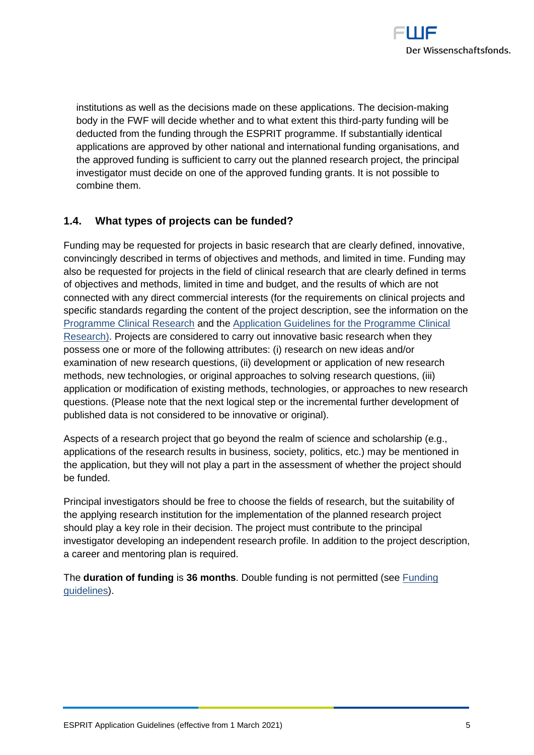

institutions as well as the decisions made on these applications. The decision-making body in the FWF will decide whether and to what extent this third-party funding will be deducted from the funding through the ESPRIT programme. If substantially identical applications are approved by other national and international funding organisations, and the approved funding is sufficient to carry out the planned research project, the principal investigator must decide on one of the approved funding grants. It is not possible to combine them.

# <span id="page-4-0"></span>**1.4. What types of projects can be funded?**

Funding may be requested for projects in basic research that are clearly defined, innovative, convincingly described in terms of objectives and methods, and limited in time. Funding may also be requested for projects in the field of clinical research that are clearly defined in terms of objectives and methods, limited in time and budget, and the results of which are not connected with any direct commercial interests (for the requirements on clinical projects and specific standards regarding the content of the project description, see the information on the [Programme Clinical Research](https://www.fwf.ac.at/en/research-funding/fwf-programmes/programme-clinical-research-klif) and the [Application Guidelines for the Programme Clinical](https://www.fwf.ac.at/fileadmin/files/Dokumente/Antragstellung/KLIF/klif_application-guidelines.pdf)  [Research\).](https://www.fwf.ac.at/fileadmin/files/Dokumente/Antragstellung/KLIF/klif_application-guidelines.pdf) Projects are considered to carry out innovative basic research when they possess one or more of the following attributes: (i) research on new ideas and/or examination of new research questions, (ii) development or application of new research methods, new technologies, or original approaches to solving research questions, (iii) application or modification of existing methods, technologies, or approaches to new research questions. (Please note that the next logical step or the incremental further development of published data is not considered to be innovative or original).

Aspects of a research project that go beyond the realm of science and scholarship (e.g., applications of the research results in business, society, politics, etc.) may be mentioned in the application, but they will not play a part in the assessment of whether the project should be funded.

Principal investigators should be free to choose the fields of research, but the suitability of the applying research institution for the implementation of the planned research project should play a key role in their decision. The project must contribute to the principal investigator developing an independent research profile. In addition to the project description, a career and mentoring plan is required.

The **duration of funding** is **36 months**. Double funding is not permitted (see [Funding](https://www.fwf.ac.at/fileadmin/files/Dokumente/Ueber_den_FWF/Publikationen/FWF-relevante_Publikationen/fwf_funding_guidelines.pdf)  [guidelines\)](https://www.fwf.ac.at/fileadmin/files/Dokumente/Ueber_den_FWF/Publikationen/FWF-relevante_Publikationen/fwf_funding_guidelines.pdf).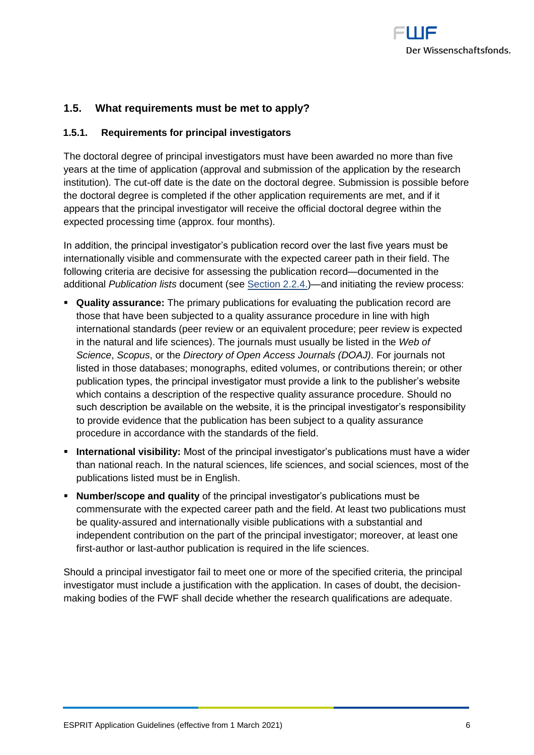

# <span id="page-5-0"></span>**1.5. What requirements must be met to apply?**

#### <span id="page-5-1"></span>**1.5.1. Requirements for principal investigators**

The doctoral degree of principal investigators must have been awarded no more than five years at the time of application (approval and submission of the application by the research institution). The cut-off date is the date on the doctoral degree. Submission is possible before the doctoral degree is completed if the other application requirements are met, and if it appears that the principal investigator will receive the official doctoral degree within the expected processing time (approx. four months).

In addition, the principal investigator's publication record over the last five years must be internationally visible and commensurate with the expected career path in their field. The following criteria are decisive for assessing the publication record—documented in the additional *Publication lists* document (see [Section 2.2.4.\)](#page-13-0)—and initiating the review process:

- **Quality assurance:** The primary publications for evaluating the publication record are those that have been subjected to a quality assurance procedure in line with high international standards (peer review or an equivalent procedure; peer review is expected in the natural and life sciences). The journals must usually be listed in the *Web of Science*, *Scopus*, or the *Directory of Open Access Journals (DOAJ)*. For journals not listed in those databases; monographs, edited volumes, or contributions therein; or other publication types, the principal investigator must provide a link to the publisher's website which contains a description of the respective quality assurance procedure. Should no such description be available on the website, it is the principal investigator's responsibility to provide evidence that the publication has been subject to a quality assurance procedure in accordance with the standards of the field.
- **International visibility:** Most of the principal investigator's publications must have a wider than national reach. In the natural sciences, life sciences, and social sciences, most of the publications listed must be in English.
- **Number/scope and quality** of the principal investigator's publications must be commensurate with the expected career path and the field. At least two publications must be quality-assured and internationally visible publications with a substantial and independent contribution on the part of the principal investigator; moreover, at least one first-author or last-author publication is required in the life sciences.

Should a principal investigator fail to meet one or more of the specified criteria, the principal investigator must include a justification with the application. In cases of doubt, the decisionmaking bodies of the FWF shall decide whether the research qualifications are adequate.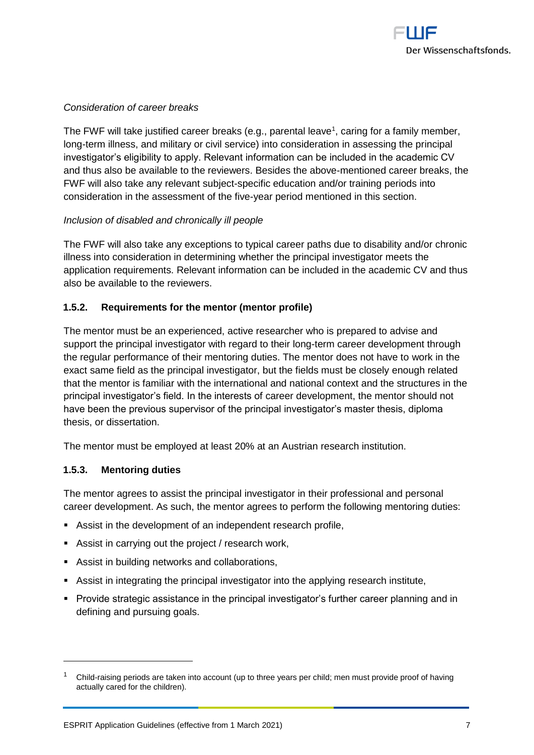

#### *Consideration of career breaks*

The FWF will take justified career breaks (e.g., parental leave<sup>1</sup>, caring for a family member, long-term illness, and military or civil service) into consideration in assessing the principal investigator's eligibility to apply. Relevant information can be included in the academic CV and thus also be available to the reviewers. Besides the above-mentioned career breaks, the FWF will also take any relevant subject-specific education and/or training periods into consideration in the assessment of the five-year period mentioned in this section.

#### *Inclusion of disabled and chronically ill people*

The FWF will also take any exceptions to typical career paths due to disability and/or chronic illness into consideration in determining whether the principal investigator meets the application requirements. Relevant information can be included in the academic CV and thus also be available to the reviewers.

#### <span id="page-6-0"></span>**1.5.2. Requirements for the mentor (mentor profile)**

The mentor must be an experienced, active researcher who is prepared to advise and support the principal investigator with regard to their long-term career development through the regular performance of their mentoring duties. The mentor does not have to work in the exact same field as the principal investigator, but the fields must be closely enough related that the mentor is familiar with the international and national context and the structures in the principal investigator's field. In the interests of career development, the mentor should not have been the previous supervisor of the principal investigator's master thesis, diploma thesis, or dissertation.

The mentor must be employed at least 20% at an Austrian research institution.

#### <span id="page-6-1"></span>**1.5.3. Mentoring duties**

 $\overline{a}$ 

The mentor agrees to assist the principal investigator in their professional and personal career development. As such, the mentor agrees to perform the following mentoring duties:

- Assist in the development of an independent research profile,
- Assist in carrying out the project / research work,
- Assist in building networks and collaborations,
- **•** Assist in integrating the principal investigator into the applying research institute,
- Provide strategic assistance in the principal investigator's further career planning and in defining and pursuing goals.

<sup>1</sup> Child-raising periods are taken into account (up to three years per child; men must provide proof of having actually cared for the children).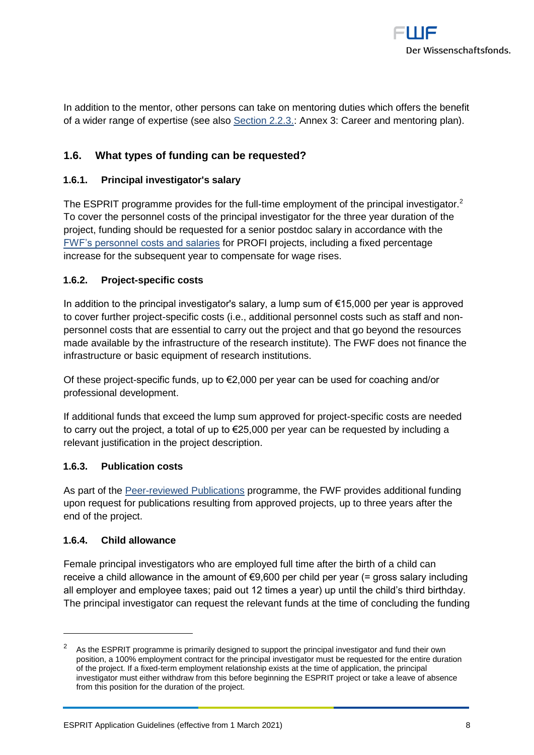

In addition to the mentor, other persons can take on mentoring duties which offers the benefit of a wider range of expertise (see also [Section 2.2.3.:](#page-10-1) Annex 3: Career and mentoring plan).

# <span id="page-7-0"></span>**1.6. What types of funding can be requested?**

#### <span id="page-7-1"></span>**1.6.1. Principal investigator's salary**

The ESPRIT programme provides for the full-time employment of the principal investigator.<sup>2</sup> To cover the personnel costs of the principal investigator for the three year duration of the project, funding should be requested for a senior postdoc salary in accordance with the [FWF's personnel costs and salaries](https://www.fwf.ac.at/en/research-funding/personnel-costs/) for PROFI projects, including a fixed percentage increase for the subsequent year to compensate for wage rises.

#### <span id="page-7-2"></span>**1.6.2. Project-specific costs**

In addition to the principal investigator's salary, a lump sum of €15,000 per year is approved to cover further project-specific costs (i.e., additional personnel costs such as staff and nonpersonnel costs that are essential to carry out the project and that go beyond the resources made available by the infrastructure of the research institute). The FWF does not finance the infrastructure or basic equipment of research institutions.

Of these project-specific funds, up to  $\epsilon$ 2,000 per year can be used for coaching and/or professional development.

If additional funds that exceed the lump sum approved for project-specific costs are needed to carry out the project, a total of up to €25,000 per year can be requested by including a relevant justification in the project description.

#### <span id="page-7-3"></span>**1.6.3. Publication costs**

As part of the [Peer-reviewed Publications](https://www.fwf.ac.at/en/research-funding/fwf-programmes/peer-reviewed-publications/) programme, the FWF provides additional funding upon request for publications resulting from approved projects, up to three years after the end of the project.

#### <span id="page-7-4"></span>**1.6.4. Child allowance**

 $\overline{a}$ 

Female principal investigators who are employed full time after the birth of a child can receive a child allowance in the amount of €9,600 per child per year (= gross salary including all employer and employee taxes; paid out 12 times a year) up until the child's third birthday. The principal investigator can request the relevant funds at the time of concluding the funding

As the ESPRIT programme is primarily designed to support the principal investigator and fund their own position, a 100% employment contract for the principal investigator must be requested for the entire duration of the project. If a fixed-term employment relationship exists at the time of application, the principal investigator must either withdraw from this before beginning the ESPRIT project or take a leave of absence from this position for the duration of the project.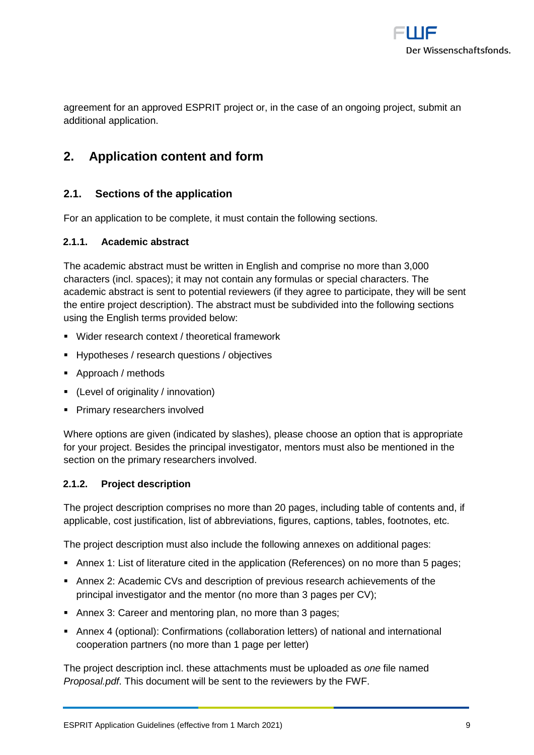

agreement for an approved ESPRIT project or, in the case of an ongoing project, submit an additional application.

# <span id="page-8-0"></span>**2. Application content and form**

# <span id="page-8-1"></span>**2.1. Sections of the application**

For an application to be complete, it must contain the following sections.

#### <span id="page-8-2"></span>**2.1.1. Academic abstract**

The academic abstract must be written in English and comprise no more than 3,000 characters (incl. spaces); it may not contain any formulas or special characters. The academic abstract is sent to potential reviewers (if they agree to participate, they will be sent the entire project description). The abstract must be subdivided into the following sections using the English terms provided below:

- Wider research context / theoretical framework
- Hypotheses / research questions / objectives
- Approach / methods
- (Level of originality / innovation)
- Primary researchers involved

Where options are given (indicated by slashes), please choose an option that is appropriate for your project. Besides the principal investigator, mentors must also be mentioned in the section on the primary researchers involved.

#### <span id="page-8-3"></span>**2.1.2. Project description**

The project description comprises no more than 20 pages, including table of contents and, if applicable, cost justification, list of abbreviations, figures, captions, tables, footnotes, etc.

The project description must also include the following annexes on additional pages:

- Annex 1: List of literature cited in the application (References) on no more than 5 pages;
- Annex 2: Academic CVs and description of previous research achievements of the principal investigator and the mentor (no more than 3 pages per CV);
- Annex 3: Career and mentoring plan, no more than 3 pages;
- Annex 4 (optional): Confirmations (collaboration letters) of national and international cooperation partners (no more than 1 page per letter)

The project description incl. these attachments must be uploaded as *one* file named *Proposal.pdf*. This document will be sent to the reviewers by the FWF.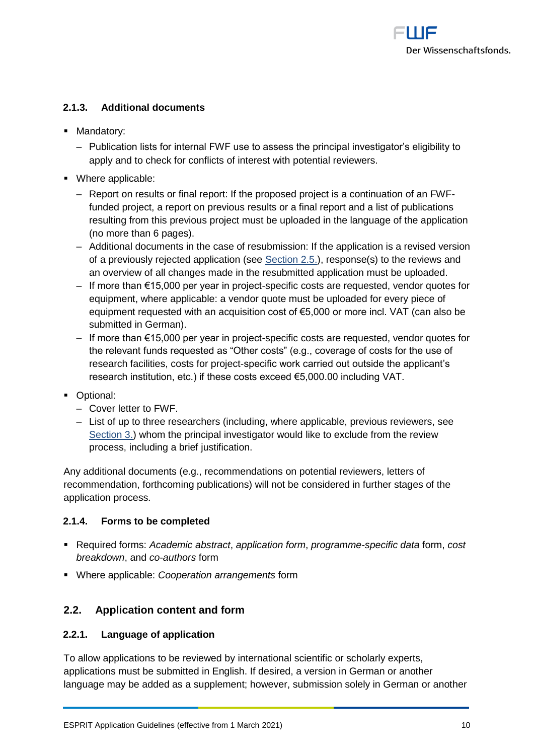

### <span id="page-9-0"></span>**2.1.3. Additional documents**

- **■** Mandatory:
	- ‒ Publication lists for internal FWF use to assess the principal investigator's eligibility to apply and to check for conflicts of interest with potential reviewers.
- Where applicable:
	- ‒ Report on results or final report: If the proposed project is a continuation of an FWFfunded project, a report on previous results or a final report and a list of publications resulting from this previous project must be uploaded in the language of the application (no more than 6 pages).
	- ‒ Additional documents in the case of resubmission: If the application is a revised version of a previously rejected application (see [Section 2.5.\)](#page-14-2), response(s) to the reviews and an overview of all changes made in the resubmitted application must be uploaded.
	- ‒ If more than €15,000 per year in project-specific costs are requested, vendor quotes for equipment, where applicable: a vendor quote must be uploaded for every piece of equipment requested with an acquisition cost of €5,000 or more incl. VAT (can also be submitted in German).
	- ‒ If more than €15,000 per year in project-specific costs are requested, vendor quotes for the relevant funds requested as "Other costs" (e.g., coverage of costs for the use of research facilities, costs for project-specific work carried out outside the applicant's research institution, etc.) if these costs exceed €5,000.00 including VAT.
- Optional:
	- ‒ Cover letter to FWF.
	- ‒ List of up to three researchers (including, where applicable, previous reviewers, see [Section 3.\)](#page-15-0) whom the principal investigator would like to exclude from the review process, including a brief justification.

Any additional documents (e.g., recommendations on potential reviewers, letters of recommendation, forthcoming publications) will not be considered in further stages of the application process.

#### <span id="page-9-1"></span>**2.1.4. Forms to be completed**

- Required forms: *Academic abstract*, *application form*, *programme-specific data* form, *cost breakdown*, and *co-authors* form
- <span id="page-9-2"></span>▪ Where applicable: *Cooperation arrangements* form

# **2.2. Application content and form**

#### <span id="page-9-3"></span>**2.2.1. Language of application**

To allow applications to be reviewed by international scientific or scholarly experts, applications must be submitted in English. If desired, a version in German or another language may be added as a supplement; however, submission solely in German or another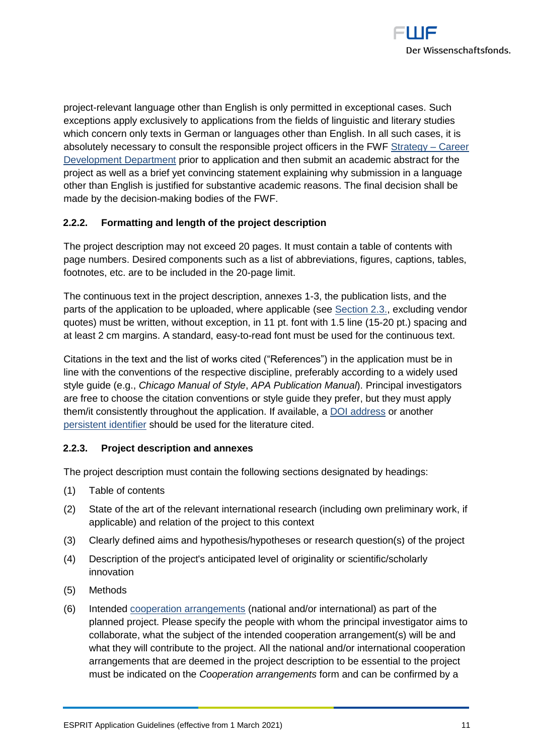

project-relevant language other than English is only permitted in exceptional cases. Such exceptions apply exclusively to applications from the fields of linguistic and literary studies which concern only texts in German or languages other than English. In all such cases, it is absolutely necessary to consult the responsible project officers in the FWF [Strategy –](https://www.fwf.ac.at/en/about-the-fwf/organisation/fwf-team/specialist-departments/strategy-career-development/) Career [Development Department](https://www.fwf.ac.at/en/about-the-fwf/organisation/fwf-team/specialist-departments/strategy-career-development/) prior to application and then submit an academic abstract for the project as well as a brief yet convincing statement explaining why submission in a language other than English is justified for substantive academic reasons. The final decision shall be made by the decision-making bodies of the FWF.

# <span id="page-10-0"></span>**2.2.2. Formatting and length of the project description**

The project description may not exceed 20 pages. It must contain a table of contents with page numbers. Desired components such as a list of abbreviations, figures, captions, tables, footnotes, etc. are to be included in the 20-page limit.

The continuous text in the project description, annexes 1-3, the publication lists, and the parts of the application to be uploaded, where applicable (see [Section 2.3.,](#page-13-1) excluding vendor quotes) must be written, without exception, in 11 pt. font with 1.5 line (15-20 pt.) spacing and at least 2 cm margins. A standard, easy-to-read font must be used for the continuous text.

Citations in the text and the list of works cited ("References") in the application must be in line with the conventions of the respective discipline, preferably according to a widely used style guide (e.g., *Chicago Manual of Style*, *APA Publication Manual*). Principal investigators are free to choose the citation conventions or style guide they prefer, but they must apply them/it consistently throughout the application. If available, a [DOI address](http://www.doi.org/index.html) or another [persistent identifier](https://en.wikipedia.org/wiki/Persistent_identifier) should be used for the literature cited.

#### <span id="page-10-1"></span>**2.2.3. Project description and annexes**

The project description must contain the following sections designated by headings:

- (1) Table of contents
- (2) State of the art of the relevant international research (including own preliminary work, if applicable) and relation of the project to this context
- (3) Clearly defined aims and hypothesis/hypotheses or research question(s) of the project
- (4) Description of the project's anticipated level of originality or scientific/scholarly innovation
- (5) Methods
- (6) Intended [cooperation arrangements](https://www.fwf.ac.at/fileadmin/files/Dokumente/Antragstellung/glossary_application-guidelines.pdf) (national and/or international) as part of the planned project. Please specify the people with whom the principal investigator aims to collaborate, what the subject of the intended cooperation arrangement(s) will be and what they will contribute to the project. All the national and/or international cooperation arrangements that are deemed in the project description to be essential to the project must be indicated on the *Cooperation arrangements* form and can be confirmed by a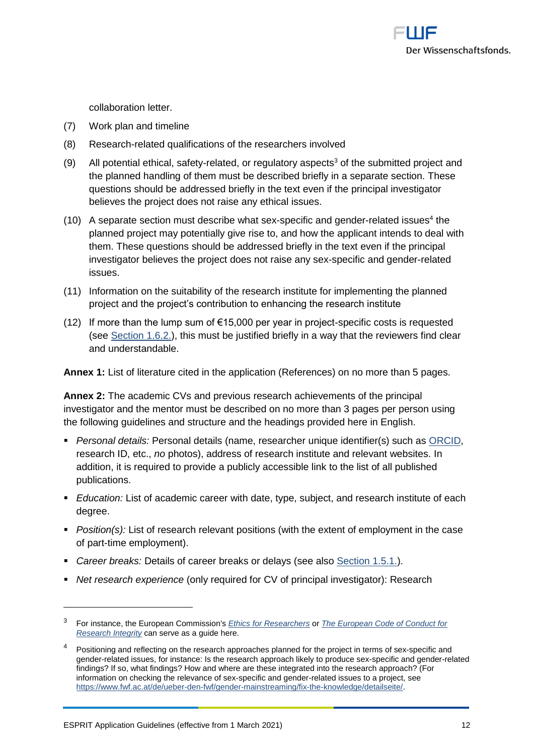

collaboration letter.

- (7) Work plan and timeline
- (8) Research-related qualifications of the researchers involved
- (9) All potential ethical, safety-related, or regulatory aspects<sup>3</sup> of the submitted project and the planned handling of them must be described briefly in a separate section. These questions should be addressed briefly in the text even if the principal investigator believes the project does not raise any ethical issues.
- $(10)$  A separate section must describe what sex-specific and gender-related issues<sup>4</sup> the planned project may potentially give rise to, and how the applicant intends to deal with them. These questions should be addressed briefly in the text even if the principal investigator believes the project does not raise any sex-specific and gender-related issues.
- (11) Information on the suitability of the research institute for implementing the planned project and the project's contribution to enhancing the research institute
- (12) If more than the lump sum of  $\epsilon$ 15,000 per year in project-specific costs is requested (see [Section 1.6.2.\)](#page-7-2), this must be justified briefly in a way that the reviewers find clear and understandable.

**Annex 1:** List of literature cited in the application (References) on no more than 5 pages.

**Annex 2:** The academic CVs and previous research achievements of the principal investigator and the mentor must be described on no more than 3 pages per person using the following guidelines and structure and the headings provided here in English.

- *Personal details:* Personal details (name, researcher unique identifier(s) such as [ORCID,](https://orcid.org/) research ID, etc., *no* photos), address of research institute and relevant websites. In addition, it is required to provide a publicly accessible link to the list of all published publications.
- **Education:** List of academic career with date, type, subject, and research institute of each degree.
- *Position(s):* List of research relevant positions (with the extent of employment in the case of part-time employment).
- *Career breaks:* Details of career breaks or delays (see also [Section 1.5.1.\)](#page-5-1).
- *Net research experience* (only required for CV of principal investigator): Research

 $\overline{a}$ 

<sup>3</sup> For instance, the European Commission's *[Ethics for Researchers](http://ec.europa.eu/research/participants/data/ref/fp7/89888/ethics-for-researchers_en.pdf)* or *[The European Code of Conduct for](https://ec.europa.eu/info/funding-tenders/opportunities/docs/2021-2027/horizon/guidance/european-code-of-conduct-for-research-integrity_horizon_en.pdf)  [Research Integrity](https://ec.europa.eu/info/funding-tenders/opportunities/docs/2021-2027/horizon/guidance/european-code-of-conduct-for-research-integrity_horizon_en.pdf)* can serve as a guide here.

<sup>&</sup>lt;sup>4</sup> Positioning and reflecting on the research approaches planned for the project in terms of sex-specific and gender-related issues, for instance: Is the research approach likely to produce sex-specific and gender-related findings? If so, what findings? How and where are these integrated into the research approach? (For information on checking the relevance of sex-specific and gender-related issues to a project, see [https://www.fwf.ac.at/de/ueber-den-fwf/gender-mainstreaming/fix-the-knowledge/detailseite/.](https://www.fwf.ac.at/en/about-the-fwf/gender-issues/fix-the-knowledge/fix-the-knowledge-detail/)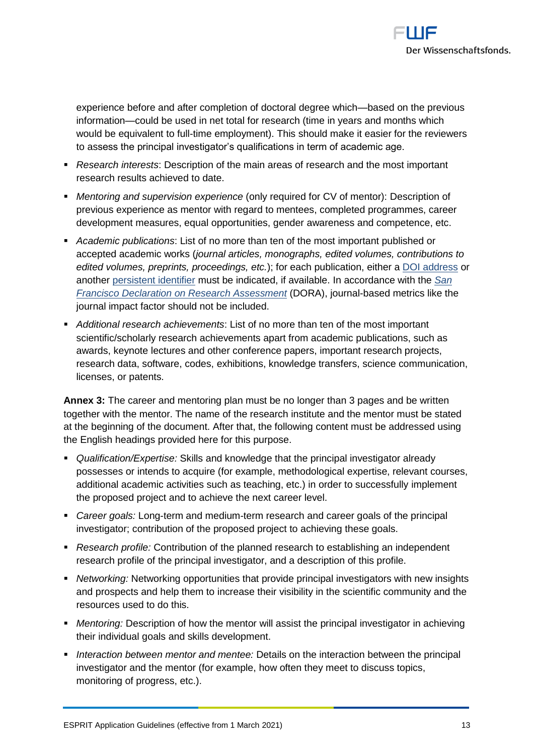

experience before and after completion of doctoral degree which—based on the previous information—could be used in net total for research (time in years and months which would be equivalent to full-time employment). This should make it easier for the reviewers to assess the principal investigator's qualifications in term of academic age.

- *Research interests*: Description of the main areas of research and the most important research results achieved to date.
- *Mentoring and supervision experience* (only required for CV of mentor): Description of previous experience as mentor with regard to mentees, completed programmes, career development measures, equal opportunities, gender awareness and competence, etc.
- *Academic publications*: List of no more than ten of the most important published or accepted academic works (*journal articles, monographs, edited volumes, contributions to edited volumes, preprints, proceedings, etc.*); for each publication, either a [DOI address](https://www.doi.org/) or another [persistent identifier](https://en.wikipedia.org/wiki/Persistent_identifier) must be indicated, if available. In accordance with the *[San](https://sfdora.org/)  [Francisco Declaration on Research Assessment](https://sfdora.org/)* (DORA), journal-based metrics like the journal impact factor should not be included.
- **EXAL** *Additional research achievements*: List of no more than ten of the most important scientific/scholarly research achievements apart from academic publications, such as awards, keynote lectures and other conference papers, important research projects, research data, software, codes, exhibitions, knowledge transfers, science communication, licenses, or patents.

**Annex 3:** The career and mentoring plan must be no longer than 3 pages and be written together with the mentor. The name of the research institute and the mentor must be stated at the beginning of the document. After that, the following content must be addressed using the English headings provided here for this purpose.

- *Qualification/Expertise:* Skills and knowledge that the principal investigator already possesses or intends to acquire (for example, methodological expertise, relevant courses, additional academic activities such as teaching, etc.) in order to successfully implement the proposed project and to achieve the next career level.
- *Career goals:* Long-term and medium-term research and career goals of the principal investigator; contribution of the proposed project to achieving these goals.
- *Research profile:* Contribution of the planned research to establishing an independent research profile of the principal investigator, and a description of this profile.
- *Networking:* Networking opportunities that provide principal investigators with new insights and prospects and help them to increase their visibility in the scientific community and the resources used to do this.
- **•** *Mentoring:* Description of how the mentor will assist the principal investigator in achieving their individual goals and skills development.
- *Interaction between mentor and mentee:* Details on the interaction between the principal investigator and the mentor (for example, how often they meet to discuss topics, monitoring of progress, etc.).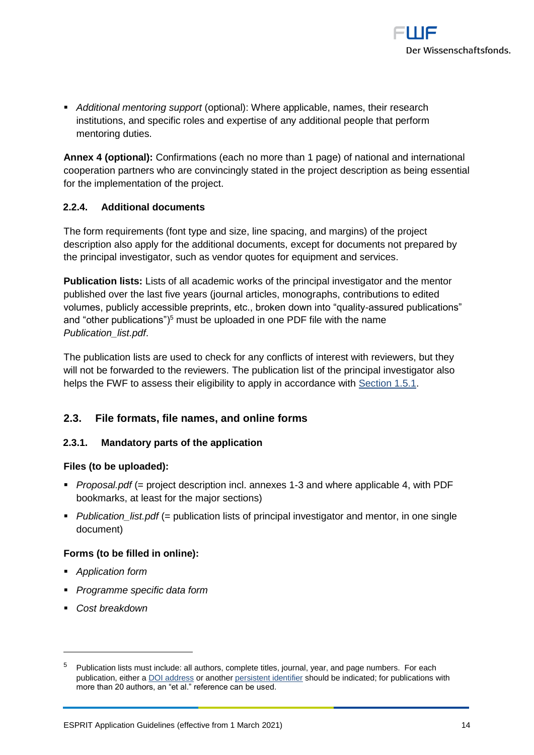

▪ *Additional mentoring support* (optional): Where applicable, names, their research institutions, and specific roles and expertise of any additional people that perform mentoring duties.

**Annex 4 (optional):** Confirmations (each no more than 1 page) of national and international cooperation partners who are convincingly stated in the project description as being essential for the implementation of the project.

#### <span id="page-13-0"></span>**2.2.4. Additional documents**

The form requirements (font type and size, line spacing, and margins) of the project description also apply for the additional documents, except for documents not prepared by the principal investigator, such as vendor quotes for equipment and services.

**Publication lists:** Lists of all academic works of the principal investigator and the mentor published over the last five years (journal articles, monographs, contributions to edited volumes, publicly accessible preprints, etc., broken down into "quality-assured publications" and "other publications" $5<sup>5</sup>$  must be uploaded in one PDF file with the name *Publication\_list.pdf*.

The publication lists are used to check for any conflicts of interest with reviewers, but they will not be forwarded to the reviewers. The publication list of the principal investigator also helps the FWF to assess their eligibility to apply in accordance with [Section 1.5.1.](#page-5-1)

# <span id="page-13-1"></span>**2.3. File formats, file names, and online forms**

#### <span id="page-13-2"></span>**2.3.1. Mandatory parts of the application**

#### **Files (to be uploaded):**

- *Proposal.pdf* (= project description incl. annexes 1-3 and where applicable 4, with PDF bookmarks, at least for the major sections)
- *Publication list.pdf (= publication lists of principal investigator and mentor, in one single* document)

#### **Forms (to be filled in online):**

- *Application form*
- *Programme specific data form*
- *Cost breakdown*

<sup>5</sup> Publication lists must include: all authors, complete titles, journal, year, and page numbers. For each publication, either [a DOI address](http://www.doi.org/) or another [persistent identifier](https://en.wikipedia.org/wiki/Persistent_identifier) should be indicated; for publications with more than 20 authors, an "et al." reference can be used.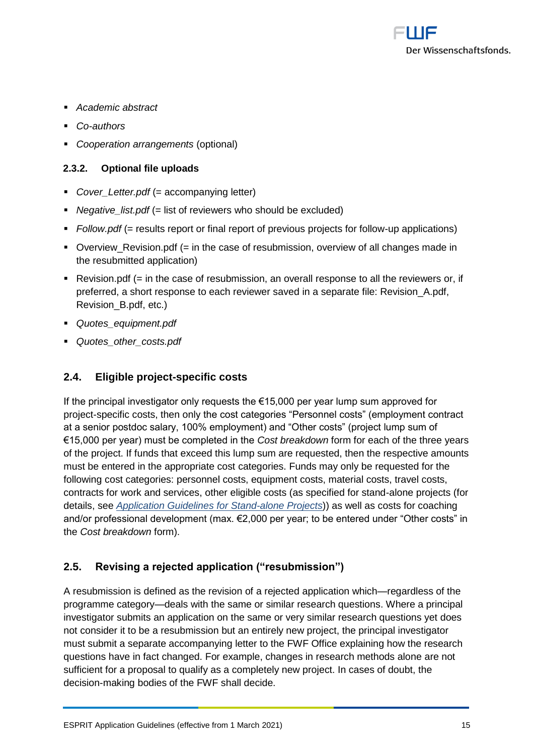

- *Academic abstract*
- *Co-authors*
- *Cooperation arrangements* (optional)

#### <span id="page-14-0"></span>**2.3.2. Optional file uploads**

- *Cover Letter.pdf* (= accompanying letter)
- *Negative\_list.pdf* (= list of reviewers who should be excluded)
- *Follow.pdf* (= results report or final report of previous projects for follow-up applications)
- Overview\_Revision.pdf (= in the case of resubmission, overview of all changes made in the resubmitted application)
- Revision.pdf (= in the case of resubmission, an overall response to all the reviewers or, if preferred, a short response to each reviewer saved in a separate file: Revision\_A.pdf, Revision\_B.pdf, etc.)
- *Quotes\_equipment.pdf*
- <span id="page-14-1"></span>▪ *Quotes\_other\_costs.pdf*

# **2.4. Eligible project-specific costs**

If the principal investigator only requests the €15,000 per year lump sum approved for project-specific costs, then only the cost categories "Personnel costs" (employment contract at a senior postdoc salary, 100% employment) and "Other costs" (project lump sum of €15,000 per year) must be completed in the *Cost breakdown* form for each of the three years of the project. If funds that exceed this lump sum are requested, then the respective amounts must be entered in the appropriate cost categories. Funds may only be requested for the following cost categories: personnel costs, equipment costs, material costs, travel costs, contracts for work and services, other eligible costs (as specified for stand-alone projects (for details, see *[Application Guidelines for Stand-alone Projects](https://www.fwf.ac.at/fileadmin/files/Dokumente/Antragstellung/Einzelprojekte/p_application-guidelines.pdf)*)) as well as costs for coaching and/or professional development (max. €2,000 per year; to be entered under "Other costs" in the *Cost breakdown* form).

# <span id="page-14-2"></span>**2.5. Revising a rejected application ("resubmission")**

A resubmission is defined as the revision of a rejected application which—regardless of the programme category—deals with the same or similar research questions. Where a principal investigator submits an application on the same or very similar research questions yet does not consider it to be a resubmission but an entirely new project, the principal investigator must submit a separate accompanying letter to the FWF Office explaining how the research questions have in fact changed. For example, changes in research methods alone are not sufficient for a proposal to qualify as a completely new project. In cases of doubt, the decision-making bodies of the FWF shall decide.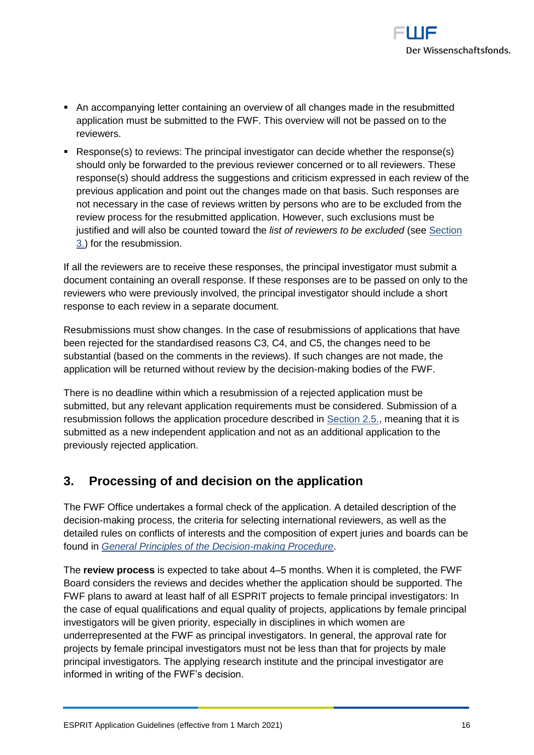

- An accompanying letter containing an overview of all changes made in the resubmitted application must be submitted to the FWF. This overview will not be passed on to the reviewers.
- Response(s) to reviews: The principal investigator can decide whether the response(s) should only be forwarded to the previous reviewer concerned or to all reviewers. These response(s) should address the suggestions and criticism expressed in each review of the previous application and point out the changes made on that basis. Such responses are not necessary in the case of reviews written by persons who are to be excluded from the review process for the resubmitted application. However, such exclusions must be justified and will also be counted toward the *list of reviewers to be excluded* (see [Section](#page-15-0)  [3.\)](#page-15-0) for the resubmission.

If all the reviewers are to receive these responses, the principal investigator must submit a document containing an overall response. If these responses are to be passed on only to the reviewers who were previously involved, the principal investigator should include a short response to each review in a separate document.

Resubmissions must show changes. In the case of resubmissions of applications that have been rejected for the standardised reasons C3, C4, and C5, the changes need to be substantial (based on the comments in the reviews). If such changes are not made, the application will be returned without review by the decision-making bodies of the FWF.

There is no deadline within which a resubmission of a rejected application must be submitted, but any relevant application requirements must be considered. Submission of a resubmission follows the application procedure described in [Section 2.5.,](#page-14-2) meaning that it is submitted as a new independent application and not as an additional application to the previously rejected application.

# <span id="page-15-0"></span>**3. Processing of and decision on the application**

The FWF Office undertakes a formal check of the application. A detailed description of the decision-making process, the criteria for selecting international reviewers, as well as the detailed rules on conflicts of interests and the composition of expert juries and boards can be found in *[General Principles of the Decision-making Procedure](https://www.fwf.ac.at/fileadmin/files/Dokumente/Entscheidung_Evaluation/fwf-decision-making-procedure.pdf)*.

The **review process** is expected to take about 4–5 months. When it is completed, the FWF Board considers the reviews and decides whether the application should be supported. The FWF plans to award at least half of all ESPRIT projects to female principal investigators: In the case of equal qualifications and equal quality of projects, applications by female principal investigators will be given priority, especially in disciplines in which women are underrepresented at the FWF as principal investigators. In general, the approval rate for projects by female principal investigators must not be less than that for projects by male principal investigators. The applying research institute and the principal investigator are informed in writing of the FWF's decision.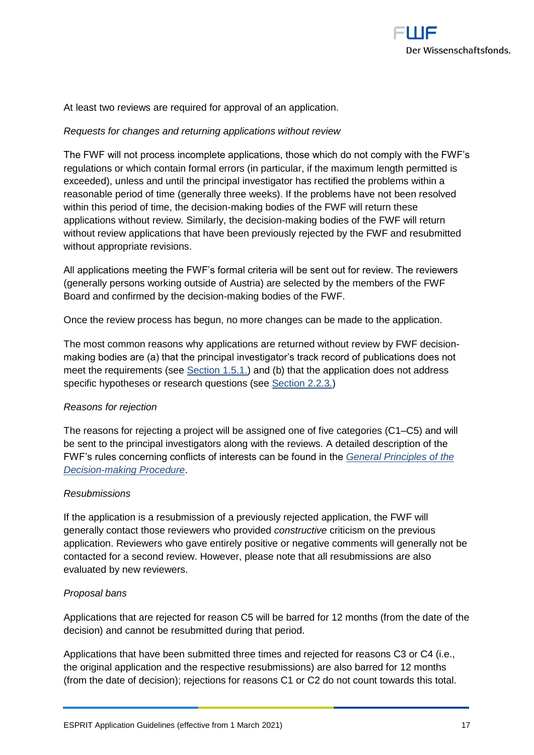

At least two reviews are required for approval of an application.

#### *Requests for changes and returning applications without review*

The FWF will not process incomplete applications, those which do not comply with the FWF's regulations or which contain formal errors (in particular, if the maximum length permitted is exceeded), unless and until the principal investigator has rectified the problems within a reasonable period of time (generally three weeks). If the problems have not been resolved within this period of time, the decision-making bodies of the FWF will return these applications without review. Similarly, the decision-making bodies of the FWF will return without review applications that have been previously rejected by the FWF and resubmitted without appropriate revisions.

All applications meeting the FWF's formal criteria will be sent out for review. The reviewers (generally persons working outside of Austria) are selected by the members of the FWF Board and confirmed by the decision-making bodies of the FWF.

Once the review process has begun, no more changes can be made to the application.

The most common reasons why applications are returned without review by FWF decisionmaking bodies are (a) that the principal investigator's track record of publications does not meet the requirements (see [Section 1.5.1.\)](#page-5-1) and (b) that the application does not address specific hypotheses or research questions (see [Section 2.2.3.\)](#page-10-1)

#### *Reasons for rejection*

The reasons for rejecting a project will be assigned one of five categories (C1–C5) and will be sent to the principal investigators along with the reviews. A detailed description of the FWF's rules concerning conflicts of interests can be found in the *[General Principles of the](https://www.fwf.ac.at/fileadmin/files/Dokumente/Entscheidung_Evaluation/fwf-decision-making-procedure.pdf)  [Decision-making Procedure](https://www.fwf.ac.at/fileadmin/files/Dokumente/Entscheidung_Evaluation/fwf-decision-making-procedure.pdf)*.

#### *Resubmissions*

If the application is a resubmission of a previously rejected application, the FWF will generally contact those reviewers who provided *constructive* criticism on the previous application. Reviewers who gave entirely positive or negative comments will generally not be contacted for a second review. However, please note that all resubmissions are also evaluated by new reviewers.

#### *Proposal bans*

Applications that are rejected for reason C5 will be barred for 12 months (from the date of the decision) and cannot be resubmitted during that period.

Applications that have been submitted three times and rejected for reasons C3 or C4 (i.e., the original application and the respective resubmissions) are also barred for 12 months (from the date of decision); rejections for reasons C1 or C2 do not count towards this total.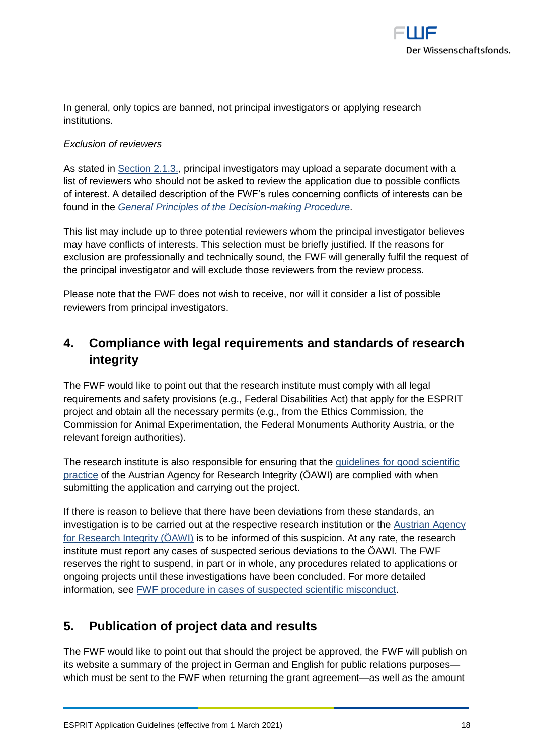

In general, only topics are banned, not principal investigators or applying research institutions.

# *Exclusion of reviewers*

As stated in [Section 2.1.3.,](#page-9-0) principal investigators may upload a separate document with a list of reviewers who should not be asked to review the application due to possible conflicts of interest. A detailed description of the FWF's rules concerning conflicts of interests can be found in the *[General Principles of the Decision-making Procedure](https://www.fwf.ac.at/fileadmin/files/Dokumente/Entscheidung_Evaluation/fwf-decision-making-procedure.pdf)*.

This list may include up to three potential reviewers whom the principal investigator believes may have conflicts of interests. This selection must be briefly justified. If the reasons for exclusion are professionally and technically sound, the FWF will generally fulfil the request of the principal investigator and will exclude those reviewers from the review process.

Please note that the FWF does not wish to receive, nor will it consider a list of possible reviewers from principal investigators.

# <span id="page-17-0"></span>**4. Compliance with legal requirements and standards of research integrity**

The FWF would like to point out that the research institute must comply with all legal requirements and safety provisions (e.g., Federal Disabilities Act) that apply for the ESPRIT project and obtain all the necessary permits (e.g., from the Ethics Commission, the Commission for Animal Experimentation, the Federal Monuments Authority Austria, or the relevant foreign authorities).

The research institute is also responsible for ensuring that the [guidelines for good scientific](https://oeawi.at/en/guidelines/)  [practice](https://oeawi.at/en/guidelines/) of the Austrian Agency for Research Integrity (ÖAWI) are complied with when submitting the application and carrying out the project.

If there is reason to believe that there have been deviations from these standards, an investigation is to be carried out at the respective research institution or the [Austrian Agency](https://oeawi.at/)  [for Research Integrity \(ÖAWI\)](https://oeawi.at/) is to be informed of this suspicion. At any rate, the research institute must report any cases of suspected serious deviations to the ÖAWI. The FWF reserves the right to suspend, in part or in whole, any procedures related to applications or ongoing projects until these investigations have been concluded. For more detailed information, see [FWF procedure in cases of suspected scientific misconduct.](https://www.fwf.ac.at/fileadmin/files/Dokumente/Research_Integrity_Ethics/FWF_Verfahren_Research_Misconduct-en.pdf)

# <span id="page-17-1"></span>**5. Publication of project data and results**

The FWF would like to point out that should the project be approved, the FWF will publish on its website a summary of the project in German and English for public relations purposes which must be sent to the FWF when returning the grant agreement—as well as the amount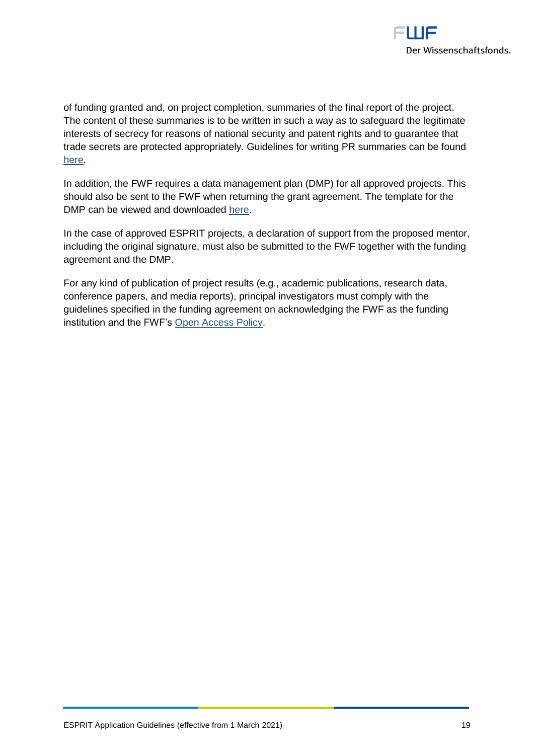

of funding granted and, on project completion, summaries of the final report of the project. The content of these summaries is to be written in such a way as to safeguard the legitimate interests of secrecy for reasons of national security and patent rights and to guarantee that trade secrets are protected appropriately. Guidelines for writing PR summaries can be found [here.](https://www.fwf.ac.at/fileadmin/files/Dokumente/Antragstellung/specifications_pr-summaries.pdf)

In addition, the FWF requires a data management plan (DMP) for all approved projects. This should also be sent to the FWF when returning the grant agreement. The template for the DMP can be viewed and downloaded [here.](https://www.fwf.ac.at/en/research-funding/open-access-policy/research-data-management/)

In the case of approved ESPRIT projects, a declaration of support from the proposed mentor, including the original signature, must also be submitted to the FWF together with the funding agreement and the DMP.

For any kind of publication of project results (e.g., academic publications, research data, conference papers, and media reports), principal investigators must comply with the guidelines specified in the funding agreement on acknowledging the FWF as the funding institution and the FWF's [Open Access Policy.](https://www.fwf.ac.at/en/research-funding/open-access-policy/)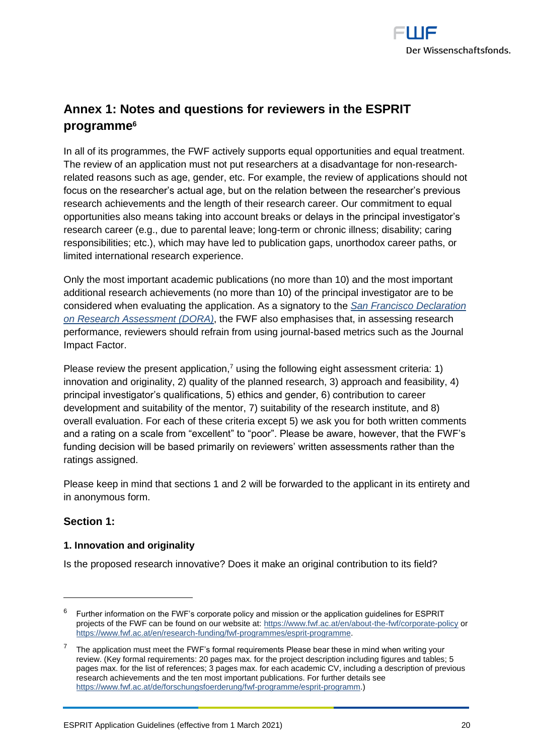

# <span id="page-19-0"></span>**Annex 1: Notes and questions for reviewers in the ESPRIT programme 6**

In all of its programmes, the FWF actively supports equal opportunities and equal treatment. The review of an application must not put researchers at a disadvantage for non-researchrelated reasons such as age, gender, etc. For example, the review of applications should not focus on the researcher's actual age, but on the relation between the researcher's previous research achievements and the length of their research career. Our commitment to equal opportunities also means taking into account breaks or delays in the principal investigator's research career (e.g., due to parental leave; long-term or chronic illness; disability; caring responsibilities; etc.), which may have led to publication gaps, unorthodox career paths, or limited international research experience.

Only the most important academic publications (no more than 10) and the most important additional research achievements (no more than 10) of the principal investigator are to be considered when evaluating the application. As a signatory to the *[San Francisco Declaration](https://sfdora.org/read/)  [on Research Assessment \(DORA\)](https://sfdora.org/read/)*, the FWF also emphasises that, in assessing research performance, reviewers should refrain from using journal-based metrics such as the Journal Impact Factor.

Please review the present application,<sup>7</sup> using the following eight assessment criteria: 1) innovation and originality, 2) quality of the planned research, 3) approach and feasibility, 4) principal investigator's qualifications, 5) ethics and gender, 6) contribution to career development and suitability of the mentor, 7) suitability of the research institute, and 8) overall evaluation. For each of these criteria except 5) we ask you for both written comments and a rating on a scale from "excellent" to "poor". Please be aware, however, that the FWF's funding decision will be based primarily on reviewers' written assessments rather than the ratings assigned.

Please keep in mind that sections 1 and 2 will be forwarded to the applicant in its entirety and in anonymous form.

# **Section 1:**

 $\overline{a}$ 

#### **1. Innovation and originality**

Is the proposed research innovative? Does it make an original contribution to its field?

 $6$  Further information on the FWF's corporate policy and mission or the application guidelines for ESPRIT projects of the FWF can be found on our website at: [https://www.fwf.ac.at/en/about-the-fwf/corporate-policy](https://www.fwf.ac.at/en/about-the-fwf/corporate-policy/) or [https://www.fwf.ac.at/en/research-funding/fwf-programmes/esprit-programme.](https://www.fwf.ac.at/en/research-funding/fwf-programmes/esprit-programme)

The application must meet the FWF's formal requirements Please bear these in mind when writing your review. (Key formal requirements: 20 pages max. for the project description including figures and tables; 5 pages max. for the list of references; 3 pages max. for each academic CV, including a description of previous research achievements and the ten most important publications. For further details see [https://www.fwf.ac.at/de/forschungsfoerderung/fwf-programme/esprit-programm.](https://www.fwf.ac.at/en/research-funding/fwf-programmes/esprit-programme))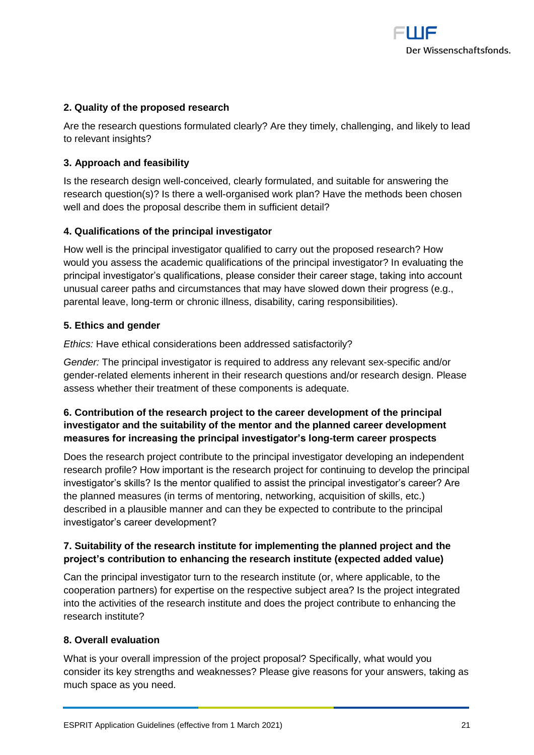

#### **2. Quality of the proposed research**

Are the research questions formulated clearly? Are they timely, challenging, and likely to lead to relevant insights?

#### **3. Approach and feasibility**

Is the research design well-conceived, clearly formulated, and suitable for answering the research question(s)? Is there a well-organised work plan? Have the methods been chosen well and does the proposal describe them in sufficient detail?

#### **4. Qualifications of the principal investigator**

How well is the principal investigator qualified to carry out the proposed research? How would you assess the academic qualifications of the principal investigator? In evaluating the principal investigator's qualifications, please consider their career stage, taking into account unusual career paths and circumstances that may have slowed down their progress (e.g., parental leave, long-term or chronic illness, disability, caring responsibilities).

#### **5. Ethics and gender**

*Ethics:* Have ethical considerations been addressed satisfactorily?

*Gender:* The principal investigator is required to address any relevant sex-specific and/or gender-related elements inherent in their research questions and/or research design. Please assess whether their treatment of these components is adequate.

# **6. Contribution of the research project to the career development of the principal investigator and the suitability of the mentor and the planned career development measures for increasing the principal investigator's long-term career prospects**

Does the research project contribute to the principal investigator developing an independent research profile? How important is the research project for continuing to develop the principal investigator's skills? Is the mentor qualified to assist the principal investigator's career? Are the planned measures (in terms of mentoring, networking, acquisition of skills, etc.) described in a plausible manner and can they be expected to contribute to the principal investigator's career development?

# **7. Suitability of the research institute for implementing the planned project and the project's contribution to enhancing the research institute (expected added value)**

Can the principal investigator turn to the research institute (or, where applicable, to the cooperation partners) for expertise on the respective subject area? Is the project integrated into the activities of the research institute and does the project contribute to enhancing the research institute?

#### **8. Overall evaluation**

What is your overall impression of the project proposal? Specifically, what would you consider its key strengths and weaknesses? Please give reasons for your answers, taking as much space as you need.